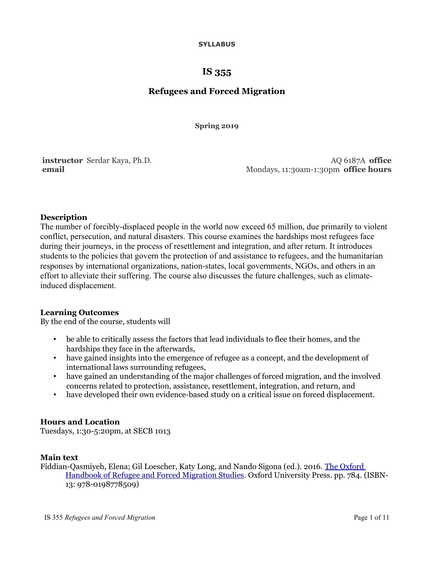#### **SYLLABUS**

# **IS 355**

# **Refugees and Forced Migration**

**Spring 2019**

**instructor** Serdar Kaya, Ph.D. **email**

AQ 6187A **office** Mondays, 11:30am-1:30pm **office hours**

# **Description**

The number of forcibly-displaced people in the world now exceed 65 million, due primarily to violent conflict, persecution, and natural disasters. This course examines the hardships most refugees face during their journeys, in the process of resettlement and integration, and after return. It introduces students to the policies that govern the protection of and assistance to refugees, and the humanitarian responses by international organizations, nation-states, local governments, NGOs, and others in an effort to alleviate their suffering. The course also discusses the future challenges, such as climateinduced displacement.

# **Learning Outcomes**

By the end of the course, students will

- be able to critically assess the factors that lead individuals to flee their homes, and the hardships they face in the afterwards,
- have gained insights into the emergence of refugee as a concept, and the development of international laws surrounding refugees,
- have gained an understanding of the major challenges of forced migration, and the involved concerns related to protection, assistance, resettlement, integration, and return, and
- have developed their own evidence-based study on a critical issue on forced displacement.

# **Hours and Location**

Tuesdays, 1:30-5:20pm, at SECB 1013

# **Main text**

Fiddian-Qasmiyeh, Elena; Gil Loescher, Katy Long, and Nando Sigona (ed.). 2016. [The Oxford](https://www.amazon.ca/Oxford-Handbook-Refugee-Migration-Studies/dp/0198778503/)  [Handbook of Refugee and Forced Migration Studies.](https://www.amazon.ca/Oxford-Handbook-Refugee-Migration-Studies/dp/0198778503/) Oxford University Press. pp. 784. (ISBN-13: 978-0198778509)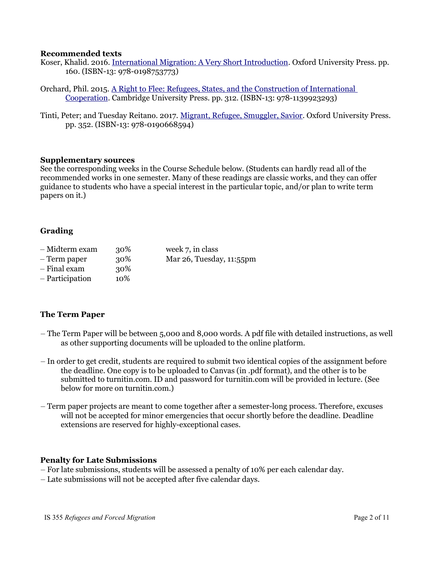#### **Recommended texts**

- Koser, Khalid. 2016. [International Migration: A Very Short Introduction.](https://www.amazon.ca/International-Migration-Very-Short-Introduction/dp/0198753772/) Oxford University Press. pp. 160. (ISBN-13: 978-0198753773)
- Orchard, Phil. 2015. [A Right to Flee: Refugees, States, and the Construction of International](https://www.amazon.ca/Right-Flee-Construction-International-Cooperation/dp/1107431697/)  [Cooperation.](https://www.amazon.ca/Right-Flee-Construction-International-Cooperation/dp/1107431697/) Cambridge University Press. pp. 312. (ISBN-13: 978-1139923293)
- Tinti, Peter; and Tuesday Reitano. 2017. [Migrant, Refugee, Smuggler, Savior.](https://www.amazon.ca/Migrant-Refugee-Smuggler-Savior-Peter/dp/0190668598/) Oxford University Press. pp. 352. (ISBN-13: 978-0190668594)

#### **Supplementary sources**

See the corresponding weeks in the Course Schedule below. (Students can hardly read all of the recommended works in one semester. Many of these readings are classic works, and they can offer guidance to students who have a special interest in the particular topic, and/or plan to write term papers on it.)

# **Grading**

- Midterm exam 30% week 7, in class
- Term paper 30% Mar 26, Tuesday, 11:55pm
- $-$  Final exam  $30\%$
- Participation 10%

# **The Term Paper**

- The Term Paper will be between 5,000 and 8,000 words. A pdf file with detailed instructions, as well as other supporting documents will be uploaded to the online platform.
- In order to get credit, students are required to submit two identical copies of the assignment before the deadline. One copy is to be uploaded to Canvas (in .pdf format), and the other is to be submitted to turnitin.com. ID and password for turnitin.com will be provided in lecture. (See below for more on turnitin.com.)
- Term paper projects are meant to come together after a semester-long process. Therefore, excuses will not be accepted for minor emergencies that occur shortly before the deadline. Deadline extensions are reserved for highly-exceptional cases.

# **Penalty for Late Submissions**

- For late submissions, students will be assessed a penalty of 10% per each calendar day.
- Late submissions will not be accepted after five calendar days.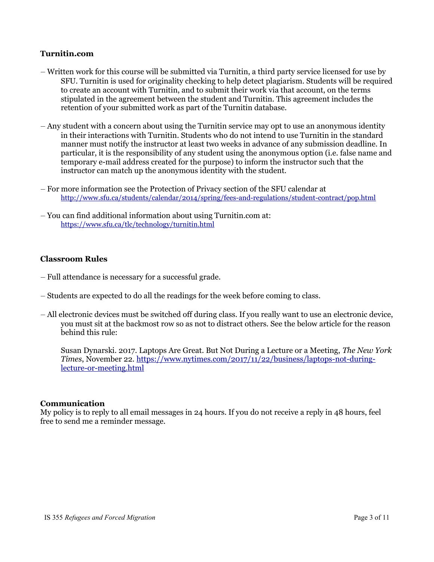# **Turnitin.com**

- Written work for this course will be submitted via Turnitin, a third party service licensed for use by SFU. Turnitin is used for originality checking to help detect plagiarism. Students will be required to create an account with Turnitin, and to submit their work via that account, on the terms stipulated in the agreement between the student and Turnitin. This agreement includes the retention of your submitted work as part of the Turnitin database.
- Any student with a concern about using the Turnitin service may opt to use an anonymous identity in their interactions with Turnitin. Students who do not intend to use Turnitin in the standard manner must notify the instructor at least two weeks in advance of any submission deadline. In particular, it is the responsibility of any student using the anonymous option (i.e. false name and temporary e-mail address created for the purpose) to inform the instructor such that the instructor can match up the anonymous identity with the student.
- For more information see the Protection of Privacy section of the SFU calendar at <http://www.sfu.ca/students/calendar/2014/spring/fees-and-regulations/student-contract/pop.html>
- You can find additional information about using Turnitin.com at: <https://www.sfu.ca/tlc/technology/turnitin.html>

# **Classroom Rules**

- Full attendance is necessary for a successful grade.
- Students are expected to do all the readings for the week before coming to class.
- All electronic devices must be switched off during class. If you really want to use an electronic device, you must sit at the backmost row so as not to distract others. See the below article for the reason behind this rule:

Susan Dynarski. 2017. Laptops Are Great. But Not During a Lecture or a Meeting, *The New York Times*, November 22. [https://www.nytimes.com/2017/11/22/business/laptops-not-during](https://www.nytimes.com/2017/11/22/business/laptops-not-during-lecture-or-meeting.html)[lecture-or-meeting.html](https://www.nytimes.com/2017/11/22/business/laptops-not-during-lecture-or-meeting.html)

# **Communication**

My policy is to reply to all email messages in 24 hours. If you do not receive a reply in 48 hours, feel free to send me a reminder message.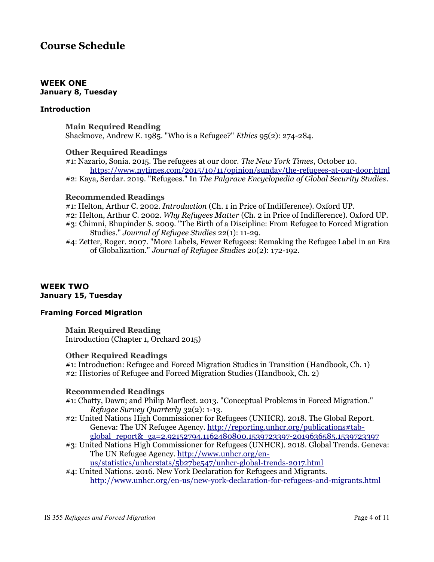# **Course Schedule**

#### **WEEK ONE January 8, Tuesday**

### **Introduction**

**Main Required Reading** Shacknove, Andrew E. 1985. "Who is a Refugee?" *Ethics* 95(2): 274-284.

#### **Other Required Readings**

#1: Nazario, Sonia. 2015. The refugees at our door. *The New York Times*, October 10. <https://www.nytimes.com/2015/10/11/opinion/sunday/the-refugees-at-our-door.html> #2: Kaya, Serdar. 2019. "Refugees." In *The Palgrave Encyclopedia of Global Security Studies*.

#### **Recommended Readings**

#1: Helton, Arthur C. 2002. *Introduction* (Ch. 1 in Price of Indifference). Oxford UP. #2: Helton, Arthur C. 2002. *Why Refugees Matter* (Ch. 2 in Price of Indifference). Oxford UP. #3: Chimni, Bhupinder S. 2009. "The Birth of a Discipline: From Refugee to Forced Migration Studies." *Journal of Refugee Studies* 22(1): 11-29.

#4: Zetter, Roger. 2007. "More Labels, Fewer Refugees: Remaking the Refugee Label in an Era of Globalization." *Journal of Refugee Studies* 20(2): 172-192.

#### **WEEK TWO January 15, Tuesday**

# **Framing Forced Migration**

**Main Required Reading** Introduction (Chapter 1, Orchard 2015)

#### **Other Required Readings**

#1: Introduction: Refugee and Forced Migration Studies in Transition (Handbook, Ch. 1) #2: Histories of Refugee and Forced Migration Studies (Handbook, Ch. 2)

#### **Recommended Readings**

#1: Chatty, Dawn; and Philip Marfleet. 2013. "Conceptual Problems in Forced Migration." *Refugee Survey Quarterly* 32(2): 1-13.

- #2: United Nations High Commissioner for Refugees (UNHCR). 2018. The Global Report. Geneva: The UN Refugee Agency. [http://reporting.unhcr.org/publications#tab](http://reporting.unhcr.org/publications#tab-global_report&_ga=2.92152794.1162480800.1539723397-2019636585.1539723397)[global\\_report&\\_ga=2.92152794.1162480800.1539723397-2019636585.1539723397](http://reporting.unhcr.org/publications#tab-global_report&_ga=2.92152794.1162480800.1539723397-2019636585.1539723397)
- #3: United Nations High Commissioner for Refugees (UNHCR). 2018. Global Trends. Geneva: The UN Refugee Agency. [http://www.unhcr.org/en-](http://www.unhcr.org/en-us/statistics/unhcrstats/5b27be547/unhcr-global-trends-2017.html)

[us/statistics/unhcrstats/5b27be547/unhcr-global-trends-2017.html](http://www.unhcr.org/en-us/statistics/unhcrstats/5b27be547/unhcr-global-trends-2017.html)

#4: United Nations. 2016. New York Declaration for Refugees and Migrants. <http://www.unhcr.org/en-us/new-york-declaration-for-refugees-and-migrants.html>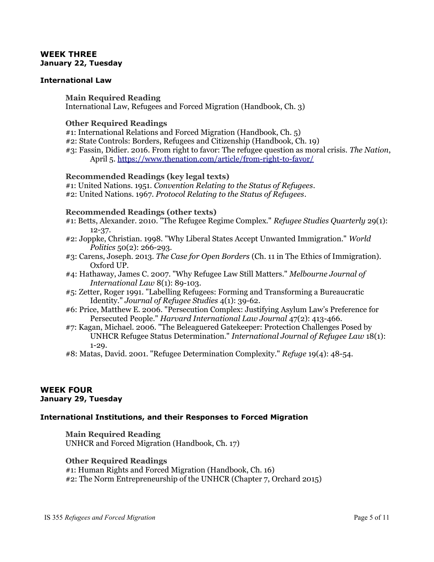## **WEEK THREE January 22, Tuesday**

### **International Law**

**Main Required Reading** International Law, Refugees and Forced Migration (Handbook, Ch. 3)

#### **Other Required Readings**

- #1: International Relations and Forced Migration (Handbook, Ch. 5)
- #2: State Controls: Borders, Refugees and Citizenship (Handbook, Ch. 19)
- #3: Fassin, Didier. 2016. From right to favor: The refugee question as moral crisis. *The Nation*, April 5.<https://www.thenation.com/article/from-right-to-favor/>

#### **Recommended Readings (key legal texts)**

#1: United Nations. 1951. *Convention Relating to the Status of Refugees*. #2: United Nations. 1967. *Protocol Relating to the Status of Refugees*.

#### **Recommended Readings (other texts)**

- #1: Betts, Alexander. 2010. "The Refugee Regime Complex." *Refugee Studies Quarterly* 29(1): 12-37.
- #2: Joppke, Christian. 1998. "Why Liberal States Accept Unwanted Immigration." *World Politics* 50(2): 266-293.
- #3: Carens, Joseph. 2013. *The Case for Open Borders* (Ch. 11 in The Ethics of Immigration). Oxford UP.
- #4: Hathaway, James C. 2007. "Why Refugee Law Still Matters." *Melbourne Journal of International Law* 8(1): 89-103.
- #5: Zetter, Roger 1991. "Labelling Refugees: Forming and Transforming a Bureaucratic Identity." *Journal of Refugee Studies* 4(1): 39-62.
- #6: Price, Matthew E. 2006. "Persecution Complex: Justifying Asylum Law's Preference for Persecuted People." *Harvard International Law Journal* 47(2): 413-466.
- #7: Kagan, Michael. 2006. "The Beleaguered Gatekeeper: Protection Challenges Posed by UNHCR Refugee Status Determination." *International Journal of Refugee Law* 18(1): 1-29.
- #8: Matas, David. 2001. "Refugee Determination Complexity." *Refuge* 19(4): 48-54.

#### **WEEK FOUR January 29, Tuesday**

# **International Institutions, and their Responses to Forced Migration**

**Main Required Reading** UNHCR and Forced Migration (Handbook, Ch. 17)

**Other Required Readings**

#1: Human Rights and Forced Migration (Handbook, Ch. 16) #2: The Norm Entrepreneurship of the UNHCR (Chapter 7, Orchard 2015)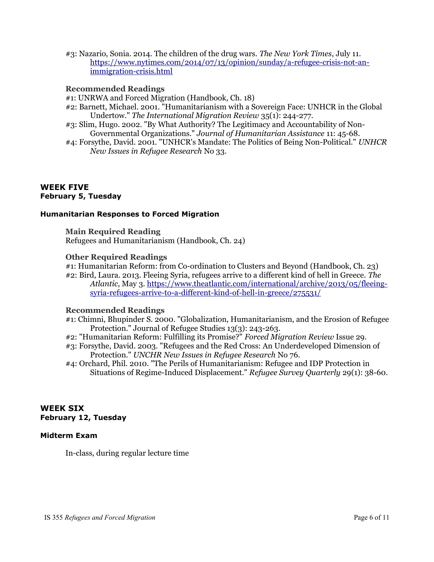#3: Nazario, Sonia. 2014. The children of the drug wars. *The New York Times*, July 11. [https://www.nytimes.com/2014/07/13/opinion/sunday/a-refugee-crisis-not-an](https://www.nytimes.com/2014/07/13/opinion/sunday/a-refugee-crisis-not-an-immigration-crisis.html)[immigration-crisis.html](https://www.nytimes.com/2014/07/13/opinion/sunday/a-refugee-crisis-not-an-immigration-crisis.html)

# **Recommended Readings**

- #1: UNRWA and Forced Migration (Handbook, Ch. 18)
- #2: Barnett, Michael. 2001. "Humanitarianism with a Sovereign Face: UNHCR in the Global Undertow." *The International Migration Review* 35(1): 244-277.
- #3: Slim, Hugo. 2002. "By What Authority? The Legitimacy and Accountability of Non-Governmental Organizations." *Journal of Humanitarian Assistance* 11: 45-68.
- #4: Forsythe, David. 2001. "UNHCR's Mandate: The Politics of Being Non-Political." *UNHCR New Issues in Refugee Research* No 33.

#### **WEEK FIVE February 5, Tuesday**

#### **Humanitarian Responses to Forced Migration**

**Main Required Reading** Refugees and Humanitarianism (Handbook, Ch. 24)

# **Other Required Readings**

#1: Humanitarian Reform: from Co-ordination to Clusters and Beyond (Handbook, Ch. 23)

#2: Bird, Laura. 2013. Fleeing Syria, refugees arrive to a different kind of hell in Greece. *The Atlantic*, May 3. [https://www.theatlantic.com/international/archive/2013/05/fleeing](https://www.theatlantic.com/international/archive/2013/05/fleeing-syria-refugees-arrive-to-a-different-kind-of-hell-in-greece/275531/)[syria-refugees-arrive-to-a-different-kind-of-hell-in-greece/275531/](https://www.theatlantic.com/international/archive/2013/05/fleeing-syria-refugees-arrive-to-a-different-kind-of-hell-in-greece/275531/)

#### **Recommended Readings**

- #1: Chimni, Bhupinder S. 2000. "Globalization, Humanitarianism, and the Erosion of Refugee Protection." Journal of Refugee Studies 13(3): 243-263.
- #2: "Humanitarian Reform: Fulfilling its Promise?" *Forced Migration Review* Issue 29.
- #3: Forsythe, David. 2003. "Refugees and the Red Cross: An Underdeveloped Dimension of Protection." *UNCHR New Issues in Refugee Research* No 76.
- #4: Orchard, Phil. 2010. "The Perils of Humanitarianism: Refugee and IDP Protection in Situations of Regime-Induced Displacement." *Refugee Survey Quarterly* 29(1): 38-60.

# **WEEK SIX February 12, Tuesday**

# **Midterm Exam**

In-class, during regular lecture time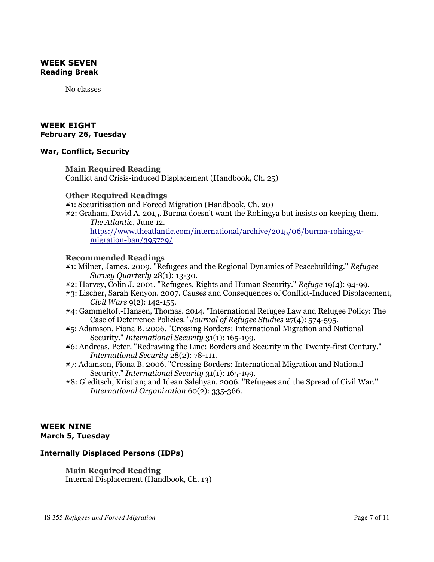# **WEEK SEVEN Reading Break**

No classes

# **WEEK EIGHT February 26, Tuesday**

#### **War, Conflict, Security**

# **Main Required Reading**

Conflict and Crisis-induced Displacement (Handbook, Ch. 25)

#### **Other Required Readings**

#1: Securitisation and Forced Migration (Handbook, Ch. 20)

#2: Graham, David A. 2015. Burma doesn't want the Rohingya but insists on keeping them. *The Atlantic*, June 12.

[https://www.theatlantic.com/international/archive/2015/06/burma-rohingya](https://www.theatlantic.com/international/archive/2015/06/burma-rohingya-migration-ban/395729/)[migration-ban/395729/](https://www.theatlantic.com/international/archive/2015/06/burma-rohingya-migration-ban/395729/)

# **Recommended Readings**

- #1: Milner, James. 2009. "Refugees and the Regional Dynamics of Peacebuilding." *Refugee Survey Quarterly* 28(1): 13-30.
- #2: Harvey, Colin J. 2001. "Refugees, Rights and Human Security." *Refuge* 19(4): 94-99.
- #3: Lischer, Sarah Kenyon. 2007. Causes and Consequences of Conflict-Induced Displacement, *Civil Wars* 9(2): 142-155.
- #4: Gammeltoft-Hansen, Thomas. 2014. "International Refugee Law and Refugee Policy: The Case of Deterrence Policies." *Journal of Refugee Studies* 27(4): 574-595.
- #5: Adamson, Fiona B. 2006. "Crossing Borders: International Migration and National Security." *International Security* 31(1): 165-199.
- #6: Andreas, Peter. "Redrawing the Line: Borders and Security in the Twenty-first Century." *International Security* 28(2): 78-111.
- #7: Adamson, Fiona B. 2006. "Crossing Borders: International Migration and National Security." *International Security* 31(1): 165-199.
- #8: Gleditsch, Kristian; and Idean Salehyan. 2006. "Refugees and the Spread of Civil War." *International Organization* 60(2): 335-366.

# **WEEK NINE March 5, Tuesday**

# **Internally Displaced Persons (IDPs)**

**Main Required Reading** Internal Displacement (Handbook, Ch. 13)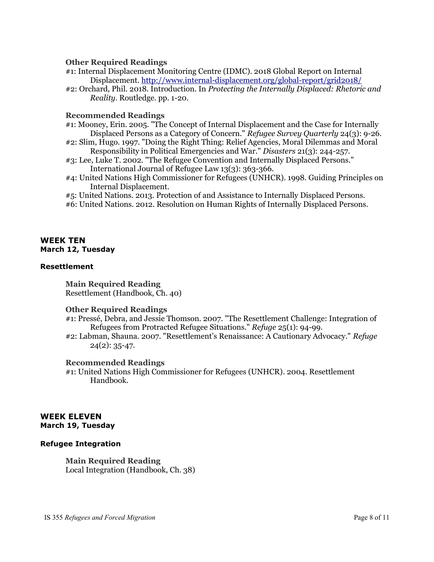### **Other Required Readings**

- #1: Internal Displacement Monitoring Centre (IDMC). 2018 Global Report on Internal Displacement.<http://www.internal-displacement.org/global-report/grid2018/>
- #2: Orchard, Phil. 2018. Introduction. In *Protecting the Internally Displaced: Rhetoric and Reality*. Routledge. pp. 1-20.

#### **Recommended Readings**

- #1: Mooney, Erin. 2005. "The Concept of Internal Displacement and the Case for Internally Displaced Persons as a Category of Concern." *Refugee Survey Quarterly* 24(3): 9-26.
- #2: Slim, Hugo. 1997. "Doing the Right Thing: Relief Agencies, Moral Dilemmas and Moral Responsibility in Political Emergencies and War." *Disasters* 21(3): 244-257.
- #3: Lee, Luke T. 2002. "The Refugee Convention and Internally Displaced Persons." International Journal of Refugee Law 13(3): 363-366.
- #4: United Nations High Commissioner for Refugees (UNHCR). 1998. Guiding Principles on Internal Displacement.
- #5: United Nations. 2013. Protection of and Assistance to Internally Displaced Persons.
- #6: United Nations. 2012. Resolution on Human Rights of Internally Displaced Persons.

# **WEEK TEN March 12, Tuesday**

### **Resettlement**

**Main Required Reading** Resettlement (Handbook, Ch. 40)

# **Other Required Readings**

- #1: Presse, Debra, and Jessie Thomson. 2007. "The Resettlement Challenge: Integration of Refugees from Protracted Refugee Situations." *Refuge* 25(1): 94-99.
- #2: Labman, Shauna. 2007. "Resettlement's Renaissance: A Cautionary Advocacy." *Refuge*  $24(2): 35-47.$

#### **Recommended Readings**

#1: United Nations High Commissioner for Refugees (UNHCR). 2004. Resettlement Handbook.

# **WEEK ELEVEN March 19, Tuesday**

# **Refugee Integration**

**Main Required Reading** Local Integration (Handbook, Ch. 38)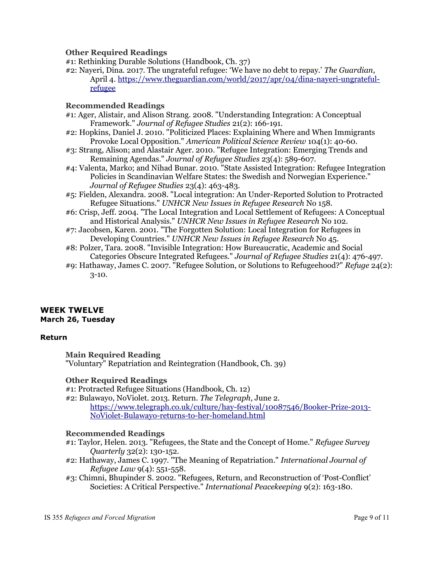**Other Required Readings**

- #1: Rethinking Durable Solutions (Handbook, Ch. 37)
- #2: Nayeri, Dina. 2017. The ungrateful refugee: 'We have no debt to repay.' *The Guardian*, April 4. [https://www.theguardian.com/world/2017/apr/04/dina-nayeri-ungrateful](https://www.theguardian.com/world/2017/apr/04/dina-nayeri-ungrateful-refugee)[refugee](https://www.theguardian.com/world/2017/apr/04/dina-nayeri-ungrateful-refugee)

# **Recommended Readings**

- #1: Ager, Alistair, and Alison Strang. 2008. "Understanding Integration: A Conceptual Framework." *Journal of Refugee Studies* 21(2): 166-191.
- #2: Hopkins, Daniel J. 2010. "Politicized Places: Explaining Where and When Immigrants Provoke Local Opposition." *American Political Science Review* 104(1): 40-60.
- #3: Strang, Alison; and Alastair Ager. 2010. "Refugee Integration: Emerging Trends and Remaining Agendas." *Journal of Refugee Studies* 23(4): 589-607.
- #4: Valenta, Marko; and Nihad Bunar. 2010. "State Assisted Integration: Refugee Integration Policies in Scandinavian Welfare States: the Swedish and Norwegian Experience." *Journal of Refugee Studies* 23(4): 463-483.
- #5: Fielden, Alexandra. 2008. "Local integration: An Under-Reported Solution to Protracted Refugee Situations." *UNHCR New Issues in Refugee Research* No 158.
- #6: Crisp, Jeff. 2004. "The Local Integration and Local Settlement of Refugees: A Conceptual and Historical Analysis." *UNHCR New Issues in Refugee Research* No 102.
- #7: Jacobsen, Karen. 2001. "The Forgotten Solution: Local Integration for Refugees in Developing Countries." *UNHCR New Issues in Refugee Research* No 45.
- #8: Polzer, Tara. 2008. "Invisible Integration: How Bureaucratic, Academic and Social Categories Obscure Integrated Refugees." *Journal of Refugee Studies* 21(4): 476-497.
- #9: Hathaway, James C. 2007. "Refugee Solution, or Solutions to Refugeehood?" *Refuge* 24(2): 3-10.

# **WEEK TWELVE March 26, Tuesday**

# **Return**

**Main Required Reading** "Voluntary" Repatriation and Reintegration (Handbook, Ch. 39)

# **Other Required Readings**

#1: Protracted Refugee Situations (Handbook, Ch. 12)

#2: Bulawayo, NoViolet. 2013. Return. *The Telegraph*, June 2.

[https://www.telegraph.co.uk/culture/hay-festival/10087546/Booker-Prize-2013-](https://www.telegraph.co.uk/culture/hay-festival/10087546/Booker-Prize-2013-NoViolet-Bulawayo-returns-to-her-homeland.html) [NoViolet-Bulawayo-returns-to-her-homeland.html](https://www.telegraph.co.uk/culture/hay-festival/10087546/Booker-Prize-2013-NoViolet-Bulawayo-returns-to-her-homeland.html)

# **Recommended Readings**

- #1: Taylor, Helen. 2013. "Refugees, the State and the Concept of Home." *Refugee Survey Quarterly* 32(2): 130-152.
- #2: Hathaway, James C. 1997. "The Meaning of Repatriation." *International Journal of Refugee Law* 9(4): 551-558.
- #3: Chimni, Bhupinder S. 2002. "Refugees, Return, and Reconstruction of 'Post-Conflict' Societies: A Critical Perspective." *International Peacekeeping* 9(2): 163-180.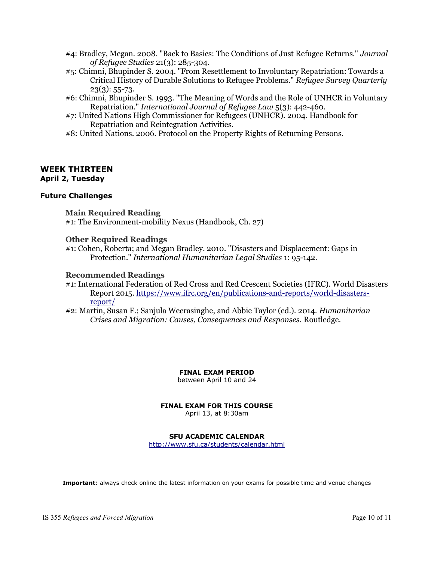- #4: Bradley, Megan. 2008. "Back to Basics: The Conditions of Just Refugee Returns." *Journal of Refugee Studies* 21(3): 285-304.
- #5: Chimni, Bhupinder S. 2004. "From Resettlement to Involuntary Repatriation: Towards a Critical History of Durable Solutions to Refugee Problems." *Refugee Survey Quarterly*  $23(3): 55-73.$
- #6: Chimni, Bhupinder S. 1993. "The Meaning of Words and the Role of UNHCR in Voluntary Repatriation." *International Journal of Refugee Law* 5(3): 442-460.
- #7: United Nations High Commissioner for Refugees (UNHCR). 2004. Handbook for Repatriation and Reintegration Activities.
- #8: United Nations. 2006. Protocol on the Property Rights of Returning Persons.

#### **WEEK THIRTEEN April 2, Tuesday**

#### **Future Challenges**

**Main Required Reading** #1: The Environment-mobility Nexus (Handbook, Ch. 27)

#### **Other Required Readings**

#1: Cohen, Roberta; and Megan Bradley. 2010. "Disasters and Displacement: Gaps in Protection." *International Humanitarian Legal Studies* 1: 95-142.

#### **Recommended Readings**

#1: International Federation of Red Cross and Red Crescent Societies (IFRC). World Disasters Report 2015. [https://www.ifrc.org/en/publications-and-reports/world-disasters](https://www.ifrc.org/en/publications-and-reports/world-disasters-report/)[report/](https://www.ifrc.org/en/publications-and-reports/world-disasters-report/)

#2: Martin, Susan F.; Sanjula Weerasinghe, and Abbie Taylor (ed.). 2014. *Humanitarian Crises and Migration: Causes, Consequences and Responses.* Routledge.

**FINAL EXAM PERIOD**

between April 10 and 24

# **FINAL EXAM FOR THIS COURSE**

April 13, at 8:30am

#### **SFU ACADEMIC CALENDAR**

<http://www.sfu.ca/students/calendar.html>

**Important**: always check online the latest information on your exams for possible time and venue changes